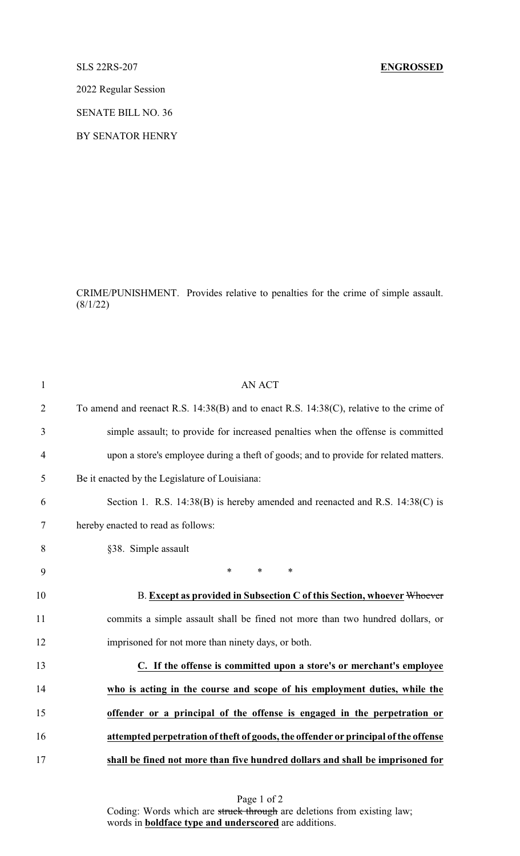### SLS 22RS-207 **ENGROSSED**

2022 Regular Session

SENATE BILL NO. 36

BY SENATOR HENRY

CRIME/PUNISHMENT. Provides relative to penalties for the crime of simple assault. (8/1/22)

| $\mathbf{1}$   | <b>AN ACT</b>                                                                           |
|----------------|-----------------------------------------------------------------------------------------|
| $\overline{2}$ | To amend and reenact R.S. 14:38(B) and to enact R.S. 14:38(C), relative to the crime of |
| 3              | simple assault; to provide for increased penalties when the offense is committed        |
| 4              | upon a store's employee during a theft of goods; and to provide for related matters.    |
| 5              | Be it enacted by the Legislature of Louisiana:                                          |
| 6              | Section 1. R.S. 14:38(B) is hereby amended and reenacted and R.S. 14:38(C) is           |
| 7              | hereby enacted to read as follows:                                                      |
| 8              | §38. Simple assault                                                                     |
| 9              | $\ast$<br>$\ast$<br>$\ast$                                                              |
| 10             | B. Except as provided in Subsection C of this Section, whoever Whoever                  |
| 11             | commits a simple assault shall be fined not more than two hundred dollars, or           |
| 12             | imprisoned for not more than ninety days, or both.                                      |
| 13             | C. If the offense is committed upon a store's or merchant's employee                    |
| 14             | who is acting in the course and scope of his employment duties, while the               |
| 15             | offender or a principal of the offense is engaged in the perpetration or                |
| 16             | attempted perpetration of theft of goods, the offender or principal of the offense      |
| 17             | shall be fined not more than five hundred dollars and shall be imprisoned for           |
|                |                                                                                         |

Page 1 of 2 Coding: Words which are struck through are deletions from existing law; words in **boldface type and underscored** are additions.